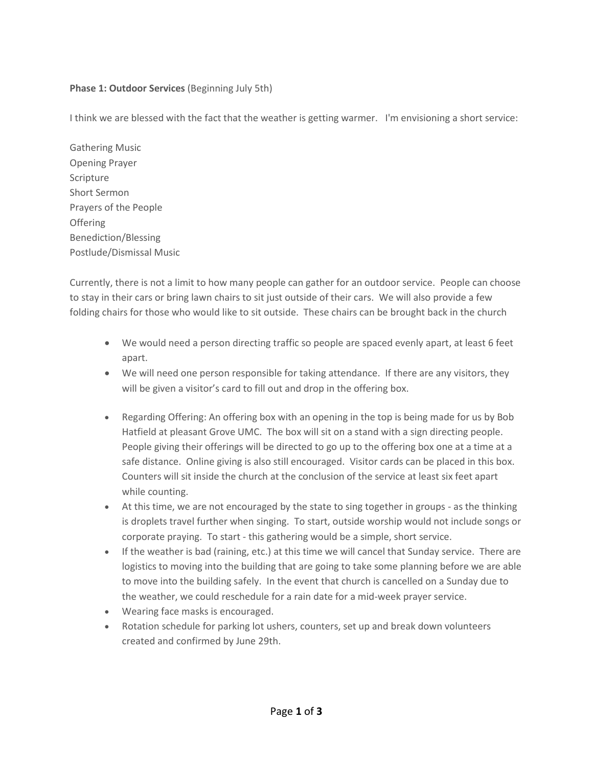# **Phase 1: Outdoor Services** (Beginning July 5th)

I think we are blessed with the fact that the weather is getting warmer. I'm envisioning a short service:

Gathering Music Opening Prayer Scripture Short Sermon Prayers of the People **Offering** Benediction/Blessing Postlude/Dismissal Music

Currently, there is not a limit to how many people can gather for an outdoor service. People can choose to stay in their cars or bring lawn chairs to sit just outside of their cars. We will also provide a few folding chairs for those who would like to sit outside. These chairs can be brought back in the church

- We would need a person directing traffic so people are spaced evenly apart, at least 6 feet apart.
- We will need one person responsible for taking attendance. If there are any visitors, they will be given a visitor's card to fill out and drop in the offering box.
- Regarding Offering: An offering box with an opening in the top is being made for us by Bob Hatfield at pleasant Grove UMC. The box will sit on a stand with a sign directing people. People giving their offerings will be directed to go up to the offering box one at a time at a safe distance. Online giving is also still encouraged. Visitor cards can be placed in this box. Counters will sit inside the church at the conclusion of the service at least six feet apart while counting.
- At this time, we are not encouraged by the state to sing together in groups as the thinking is droplets travel further when singing. To start, outside worship would not include songs or corporate praying. To start - this gathering would be a simple, short service.
- If the weather is bad (raining, etc.) at this time we will cancel that Sunday service. There are logistics to moving into the building that are going to take some planning before we are able to move into the building safely. In the event that church is cancelled on a Sunday due to the weather, we could reschedule for a rain date for a mid-week prayer service.
- Wearing face masks is encouraged.
- Rotation schedule for parking lot ushers, counters, set up and break down volunteers created and confirmed by June 29th.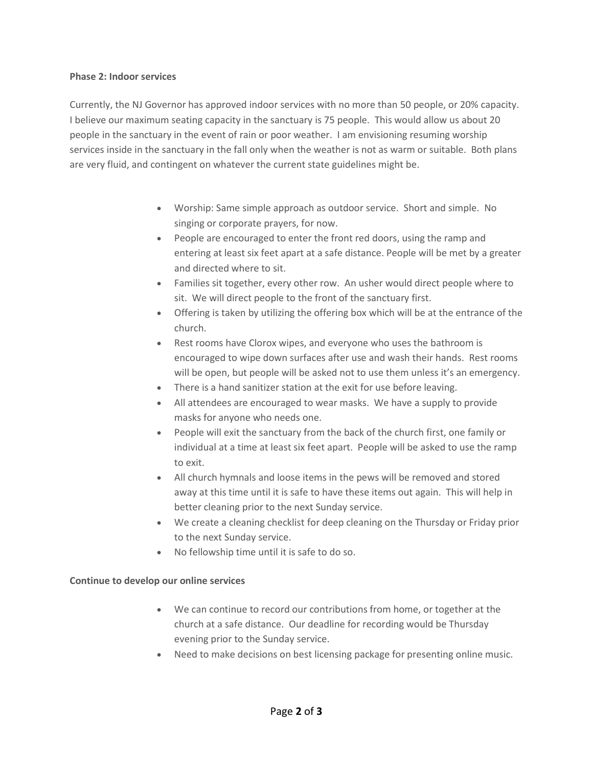#### **Phase 2: Indoor services**

Currently, the NJ Governor has approved indoor services with no more than 50 people, or 20% capacity. I believe our maximum seating capacity in the sanctuary is 75 people. This would allow us about 20 people in the sanctuary in the event of rain or poor weather. I am envisioning resuming worship services inside in the sanctuary in the fall only when the weather is not as warm or suitable. Both plans are very fluid, and contingent on whatever the current state guidelines might be.

- Worship: Same simple approach as outdoor service. Short and simple. No singing or corporate prayers, for now.
- People are encouraged to enter the front red doors, using the ramp and entering at least six feet apart at a safe distance. People will be met by a greater and directed where to sit.
- Families sit together, every other row. An usher would direct people where to sit. We will direct people to the front of the sanctuary first.
- Offering is taken by utilizing the offering box which will be at the entrance of the church.
- Rest rooms have Clorox wipes, and everyone who uses the bathroom is encouraged to wipe down surfaces after use and wash their hands. Rest rooms will be open, but people will be asked not to use them unless it's an emergency.
- There is a hand sanitizer station at the exit for use before leaving.
- All attendees are encouraged to wear masks. We have a supply to provide masks for anyone who needs one.
- People will exit the sanctuary from the back of the church first, one family or individual at a time at least six feet apart. People will be asked to use the ramp to exit.
- All church hymnals and loose items in the pews will be removed and stored away at this time until it is safe to have these items out again. This will help in better cleaning prior to the next Sunday service.
- We create a cleaning checklist for deep cleaning on the Thursday or Friday prior to the next Sunday service.
- No fellowship time until it is safe to do so.

## **Continue to develop our online services**

- We can continue to record our contributions from home, or together at the church at a safe distance. Our deadline for recording would be Thursday evening prior to the Sunday service.
- Need to make decisions on best licensing package for presenting online music.